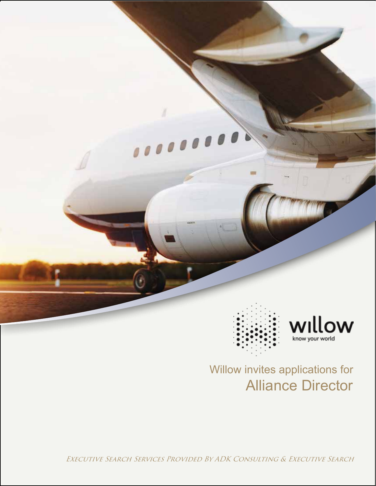

# Alliance Director Willow invites applications for

Executive Search Services Provided By ADK Consulting & Executive Search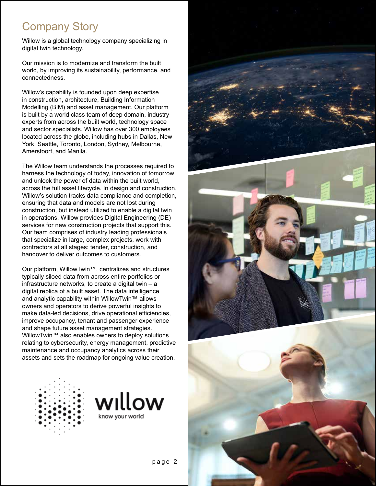## Company Story

Willow is a global technology company specializing in digital twin technology.

Our mission is to modernize and transform the built world, by improving its sustainability, performance, and connectedness.

Willow's capability is founded upon deep expertise in construction, architecture, Building Information Modelling (BIM) and asset management. Our platform is built by a world class team of deep domain, industry experts from across the built world, technology space and sector specialists. Willow has over 300 employees located across the globe, including hubs in Dallas, New York, Seattle, Toronto, London, Sydney, Melbourne, Amersfoort, and Manila.

The Willow team understands the processes required to harness the technology of today, innovation of tomorrow and unlock the power of data within the built world, across the full asset lifecycle. In design and construction, Willow's solution tracks data compliance and completion, ensuring that data and models are not lost during construction, but instead utilized to enable a digital twin in operations. Willow provides Digital Engineering (DE) services for new construction projects that support this. Our team comprises of industry leading professionals that specialize in large, complex projects, work with contractors at all stages: tender, construction, and handover to deliver outcomes to customers.

Our platform, WillowTwin™, centralizes and structures typically siloed data from across entire portfolios or infrastructure networks, to create a digital twin – a digital replica of a built asset. The data intelligence and analytic capability within WillowTwin™ allows owners and operators to derive powerful insights to make data-led decisions, drive operational efficiencies, improve occupancy, tenant and passenger experience and shape future asset management strategies. WillowTwin™ also enables owners to deploy solutions relating to cybersecurity, energy management, predictive maintenance and occupancy analytics across their assets and sets the roadmap for ongoing value creation.





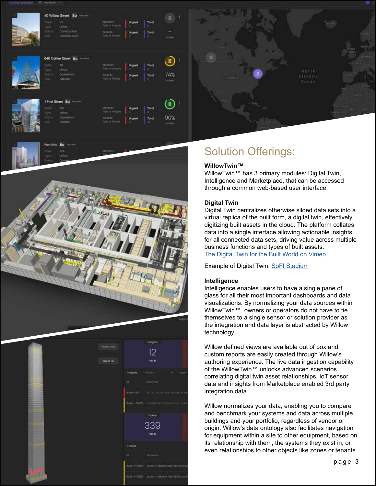



Go to L4

### Solution Offerings:

#### **WillowTwin™**

WillowTwin™ has 3 primary modules: Digital Twin, Intelligence and Marketplace, that can be accessed through a common web-based user interface.

#### **Digital Twin**

Digital Twin centralizes otherwise siloed data sets into a virtual replica of the built form, a digital twin, effectively digitizing built assets in the cloud. The platform collates data into a single interface allowing actionable insights for all connected data sets, driving value across multiple business functions and types of built assets. [The Digital Twin for the Built World on Vimeo](https://vimeo.com/501565247)

Example of Digital Twin: [SoFI Stadium](https://vimeo.com/468776686)

#### **Intelligence**

12

**Colori** 339 Intelligence enables users to have a single pane of glass for all their most important dashboards and data visualizations. By normalizing your data sources within WillowTwin™, owners or operators do not have to tie themselves to a single sensor or solution provider as the integration and data layer is abstracted by Willow technology.

Willow defined views are available out of box and custom reports are easily created through Willow's authoring experience. The live data ingestion capability of the WillowTwin™ unlocks advanced scenarios correlating digital twin asset relationships, IoT sensor data and insights from Marketplace enabled 3rd party integration data.

Willow normalizes your data, enabling you to compare and benchmark your systems and data across multiple buildings and your portfolio, regardless of vendor or origin. Willow's data ontology also facilitates navigation for equipment within a site to other equipment, based on its relationship with them, the systems they exist in, or even relationships to other objects like zones or tenants.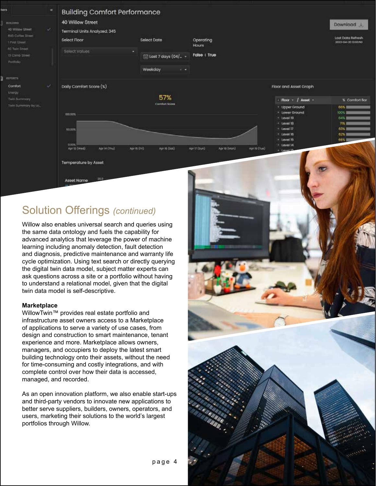

### Solution Offerings *(continued)*

Willow also enables universal search and queries using the same data ontology and fuels the capability for advanced analytics that leverage the power of machine learning including anomaly detection, fault detection and diagnosis, predictive maintenance and warranty life cycle optimization. Using text search or directly querying the digital twin data model, subject matter experts can ask questions across a site or a portfolio without having to understand a relational model, given that the digital twin data model is self-descriptive.

#### **Marketplace**

WillowTwin™ provides real estate portfolio and infrastructure asset owners access to a Marketplace of applications to serve a variety of use cases, from design and construction to smart maintenance, tenant experience and more. Marketplace allows owners, managers, and occupiers to deploy the latest smart building technology onto their assets, without the need for time-consuming and costly integrations, and with complete control over how their data is accessed, managed, and recorded.

As an open innovation platform, we also enable start-ups and third-party vendors to innovate new applications to better serve suppliers, builders, owners, operators, and users, marketing their solutions to the world's largest portfolios through Willow.

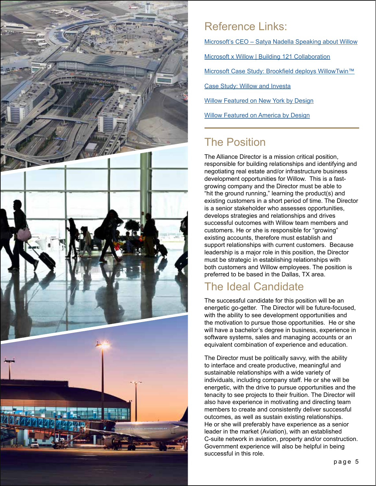

## Reference Links:

Microsoft's CEO – [Satya Nadella Speaking about Willow](https://vimeo.com/432056150)

[Microsoft x Willow | Building 121 Collaboration](https://vimeo.com/449176806/1d4057183b)

[Microsoft Case Study: Brookfield deploys WillowTwin™](https://vimeo.com/502905473)

[Case Study: Willow and Investa](https://vimeo.com/304716514)

[Willow Featured on New York by Design](https://vimeo.com/490993722)

**[Willow Featured on America by Design](https://vimeo.com/575174252)** 

## The Position

The Alliance Director is a mission critical position, responsible for building relationships and identifying and negotiating real estate and/or infrastructure business development opportunities for Willow. This is a fastgrowing company and the Director must be able to "hit the ground running," learning the product(s) and existing customers in a short period of time. The Director is a senior stakeholder who assesses opportunities, develops strategies and relationships and drives successful outcomes with Willow team members and customers. He or she is responsible for "growing" existing accounts, therefore must establish and support relationships with current customers. Because leadership is a major role in this position, the Director must be strategic in establishing relationships with both customers and Willow employees. The position is preferred to be based in the Dallas, TX area.

## The Ideal Candidate

The successful candidate for this position will be an energetic go-getter. The Director will be future-focused, with the ability to see development opportunities and the motivation to pursue those opportunities. He or she will have a bachelor's degree in business, experience in software systems, sales and managing accounts or an equivalent combination of experience and education.

The Director must be politically savvy, with the ability to interface and create productive, meaningful and sustainable relationships with a wide variety of individuals, including company staff. He or she will be energetic, with the drive to pursue opportunities and the tenacity to see projects to their fruition. The Director will also have experience in motivating and directing team members to create and consistently deliver successful outcomes, as well as sustain existing relationships. He or she will preferably have experience as a senior leader in the market (Aviation), with an established C-suite network in aviation, property and/or construction. Government experience will also be helpful in being successful in this role.